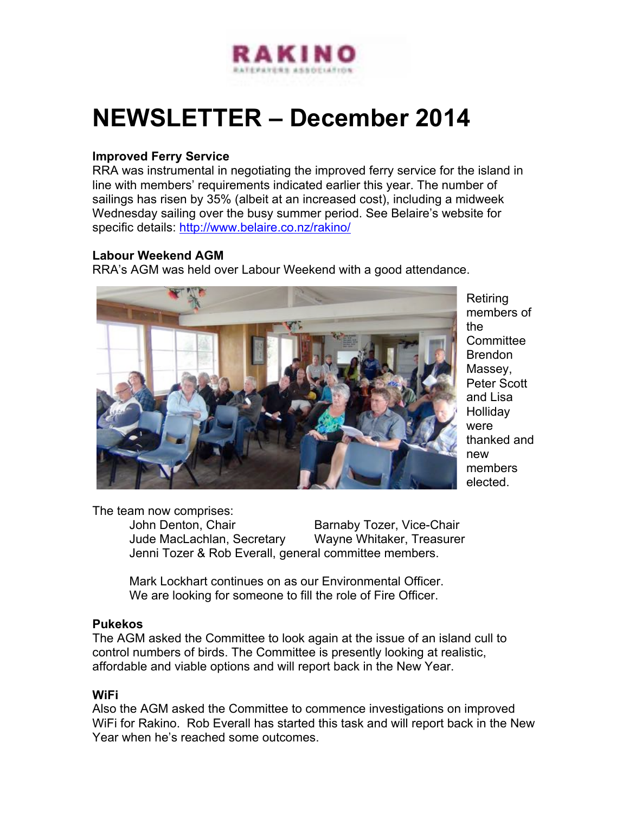

# **NEWSLETTER – December 2014**

### **Improved Ferry Service**

RRA was instrumental in negotiating the improved ferry service for the island in line with members' requirements indicated earlier this year. The number of sailings has risen by 35% (albeit at an increased cost), including a midweek Wednesday sailing over the busy summer period. See Belaire's website for specific details: http://www.belaire.co.nz/rakino/

#### **Labour Weekend AGM**

RRA's AGM was held over Labour Weekend with a good attendance.



Retiring members of the **Committee** Brendon Massey, Peter Scott and Lisa **Holliday** were thanked and new members elected.

The team now comprises:

John Denton, Chair **Barnaby Tozer, Vice-Chair** Jude MacLachlan, Secretary Wayne Whitaker, Treasurer Jenni Tozer & Rob Everall, general committee members.

Mark Lockhart continues on as our Environmental Officer. We are looking for someone to fill the role of Fire Officer.

#### **Pukekos**

The AGM asked the Committee to look again at the issue of an island cull to control numbers of birds. The Committee is presently looking at realistic, affordable and viable options and will report back in the New Year.

### **WiFi**

Also the AGM asked the Committee to commence investigations on improved WiFi for Rakino. Rob Everall has started this task and will report back in the New Year when he's reached some outcomes.